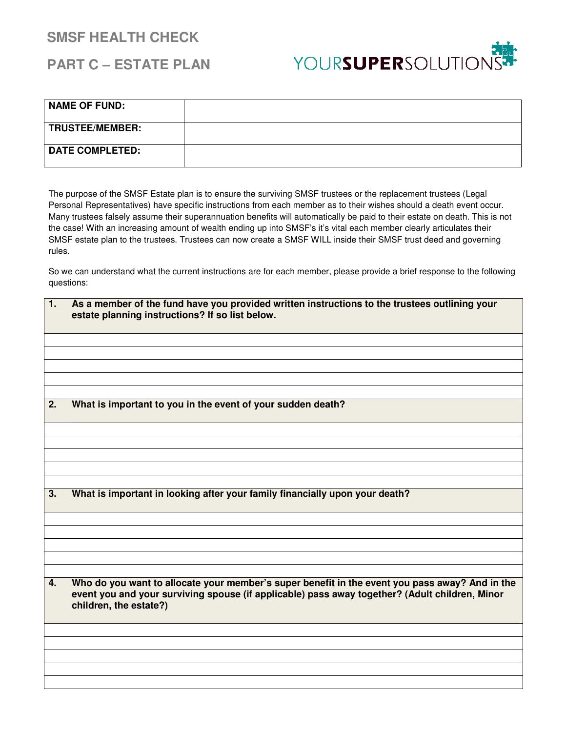## **SMSF HEALTH CHECK**

## **PART C – ESTATE PLAN**



| <b>NAME OF FUND:</b>   |  |
|------------------------|--|
| <b>TRUSTEE/MEMBER:</b> |  |
| <b>DATE COMPLETED:</b> |  |

The purpose of the SMSF Estate plan is to ensure the surviving SMSF trustees or the replacement trustees (Legal Personal Representatives) have specific instructions from each member as to their wishes should a death event occur. Many trustees falsely assume their superannuation benefits will automatically be paid to their estate on death. This is not the case! With an increasing amount of wealth ending up into SMSF's it's vital each member clearly articulates their SMSF estate plan to the trustees. Trustees can now create a SMSF WILL inside their SMSF trust deed and governing rules.

So we can understand what the current instructions are for each member, please provide a brief response to the following questions:

| 1. | As a member of the fund have you provided written instructions to the trustees outlining your<br>estate planning instructions? If so list below.                                                                           |
|----|----------------------------------------------------------------------------------------------------------------------------------------------------------------------------------------------------------------------------|
|    |                                                                                                                                                                                                                            |
|    |                                                                                                                                                                                                                            |
|    |                                                                                                                                                                                                                            |
|    |                                                                                                                                                                                                                            |
| 2. | What is important to you in the event of your sudden death?                                                                                                                                                                |
|    |                                                                                                                                                                                                                            |
|    |                                                                                                                                                                                                                            |
|    |                                                                                                                                                                                                                            |
|    |                                                                                                                                                                                                                            |
|    |                                                                                                                                                                                                                            |
| 3. | What is important in looking after your family financially upon your death?                                                                                                                                                |
|    |                                                                                                                                                                                                                            |
|    |                                                                                                                                                                                                                            |
|    |                                                                                                                                                                                                                            |
|    |                                                                                                                                                                                                                            |
|    |                                                                                                                                                                                                                            |
| 4. | Who do you want to allocate your member's super benefit in the event you pass away? And in the<br>event you and your surviving spouse (if applicable) pass away together? (Adult children, Minor<br>children, the estate?) |
|    |                                                                                                                                                                                                                            |
|    |                                                                                                                                                                                                                            |
|    |                                                                                                                                                                                                                            |
|    |                                                                                                                                                                                                                            |
|    |                                                                                                                                                                                                                            |